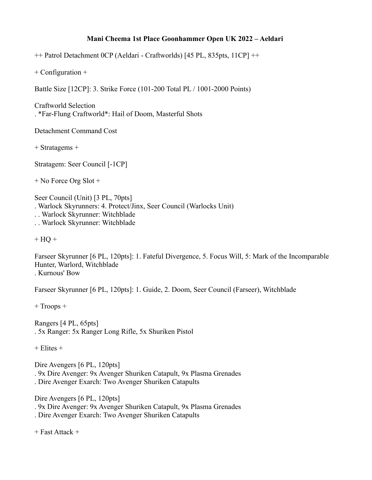## **Mani Cheema 1st Place Goonhammer Open UK 2022 – Aeldari**

++ Patrol Detachment 0CP (Aeldari - Craftworlds) [45 PL, 835pts, 11CP] ++

+ Configuration +

Battle Size [12CP]: 3. Strike Force (101-200 Total PL / 1001-2000 Points)

Craftworld Selection . \*Far-Flung Craftworld\*: Hail of Doom, Masterful Shots

Detachment Command Cost

+ Stratagems +

Stratagem: Seer Council [-1CP]

+ No Force Org Slot +

Seer Council (Unit) [3 PL, 70pts]

. Warlock Skyrunners: 4. Protect/Jinx, Seer Council (Warlocks Unit)

. . Warlock Skyrunner: Witchblade

. . Warlock Skyrunner: Witchblade

 $+ HO +$ 

Farseer Skyrunner [6 PL, 120pts]: 1. Fateful Divergence, 5. Focus Will, 5: Mark of the Incomparable Hunter, Warlord, Witchblade . Kurnous' Bow

Farseer Skyrunner [6 PL, 120pts]: 1. Guide, 2. Doom, Seer Council (Farseer), Witchblade

+ Troops +

Rangers [4 PL, 65pts] . 5x Ranger: 5x Ranger Long Rifle, 5x Shuriken Pistol

 $+$  Elites  $+$ 

Dire Avengers [6 PL, 120pts]

. 9x Dire Avenger: 9x Avenger Shuriken Catapult, 9x Plasma Grenades

. Dire Avenger Exarch: Two Avenger Shuriken Catapults

Dire Avengers [6 PL, 120pts]

. 9x Dire Avenger: 9x Avenger Shuriken Catapult, 9x Plasma Grenades

. Dire Avenger Exarch: Two Avenger Shuriken Catapults

+ Fast Attack +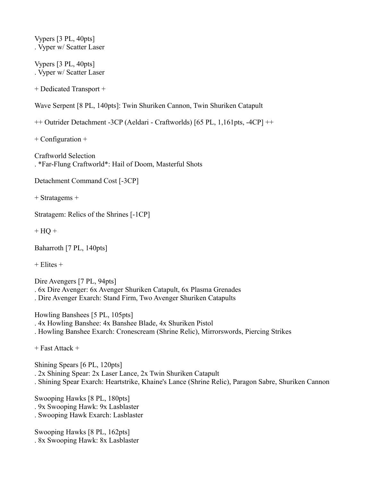Vypers [3 PL, 40pts] . Vyper w/ Scatter Laser

Vypers [3 PL, 40pts] . Vyper w/ Scatter Laser

+ Dedicated Transport +

Wave Serpent [8 PL, 140pts]: Twin Shuriken Cannon, Twin Shuriken Catapult

++ Outrider Detachment -3CP (Aeldari - Craftworlds) [65 PL, 1,161pts, -4CP] ++

+ Configuration +

Craftworld Selection . \*Far-Flung Craftworld\*: Hail of Doom, Masterful Shots

Detachment Command Cost [-3CP]

+ Stratagems +

Stratagem: Relics of the Shrines [-1CP]

 $+$  HQ  $+$ 

Baharroth [7 PL, 140pts]

 $+$  Elites  $+$ 

Dire Avengers [7 PL, 94pts]

. 6x Dire Avenger: 6x Avenger Shuriken Catapult, 6x Plasma Grenades

. Dire Avenger Exarch: Stand Firm, Two Avenger Shuriken Catapults

Howling Banshees [5 PL, 105pts] . 4x Howling Banshee: 4x Banshee Blade, 4x Shuriken Pistol . Howling Banshee Exarch: Cronescream (Shrine Relic), Mirrorswords, Piercing Strikes

+ Fast Attack +

Shining Spears [6 PL, 120pts] . 2x Shining Spear: 2x Laser Lance, 2x Twin Shuriken Catapult . Shining Spear Exarch: Heartstrike, Khaine's Lance (Shrine Relic), Paragon Sabre, Shuriken Cannon

Swooping Hawks [8 PL, 180pts] . 9x Swooping Hawk: 9x Lasblaster . Swooping Hawk Exarch: Lasblaster

Swooping Hawks [8 PL, 162pts] . 8x Swooping Hawk: 8x Lasblaster